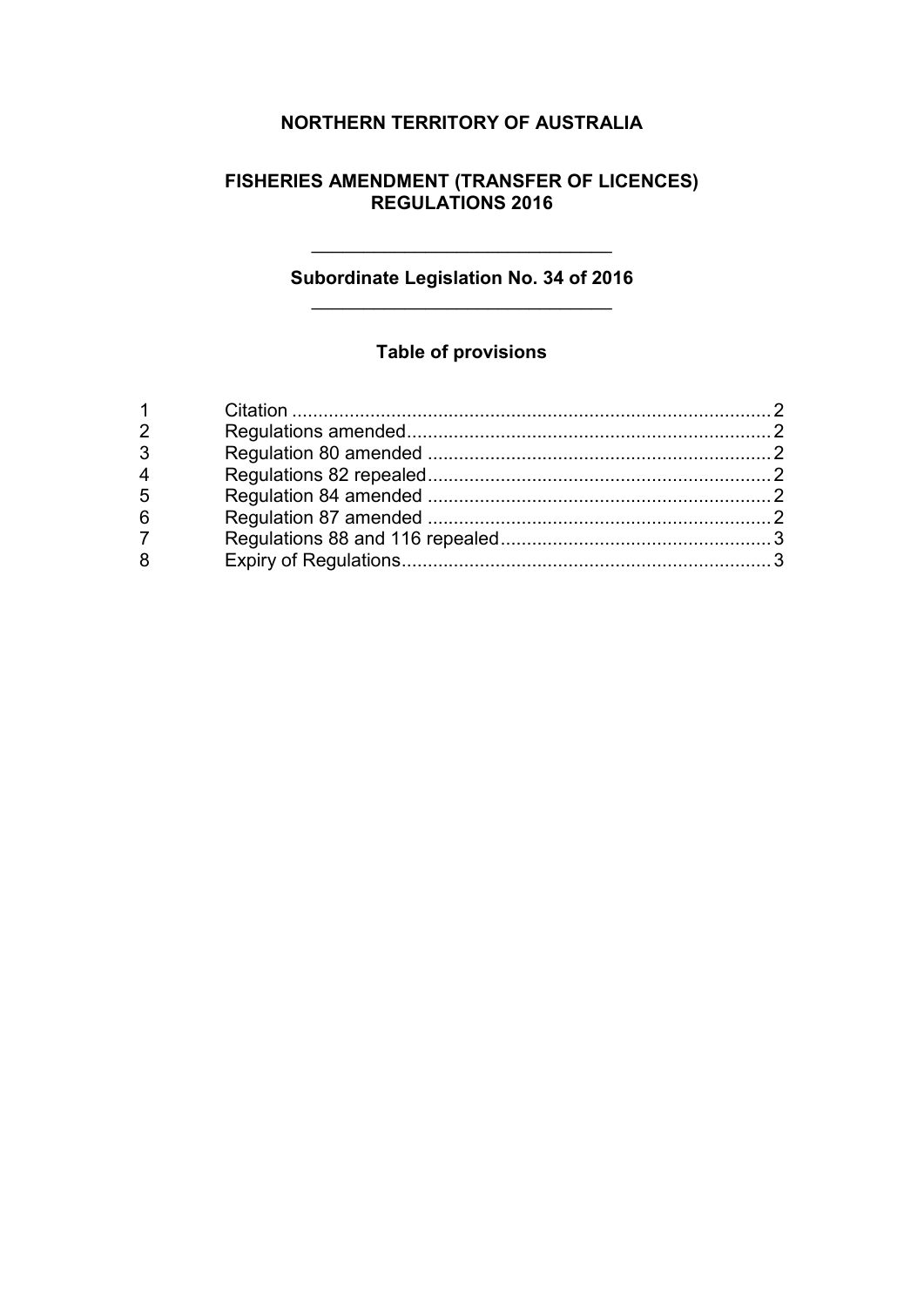### **NORTHERN TERRITORY OF AUSTRALIA**

#### **FISHERIES AMENDMENT (TRANSFER OF LICENCES) REGULATIONS 2016**

#### **Subordinate Legislation No. 34 of 2016** \_\_\_\_\_\_\_\_\_\_\_\_\_\_\_\_\_\_\_\_\_\_\_\_\_\_\_\_\_

\_\_\_\_\_\_\_\_\_\_\_\_\_\_\_\_\_\_\_\_\_\_\_\_\_\_\_\_\_

### **Table of provisions**

| $\overline{2}$ |  |
|----------------|--|
| 3              |  |
| $\overline{4}$ |  |
| 5              |  |
| 6              |  |
| $\overline{7}$ |  |
| 8              |  |
|                |  |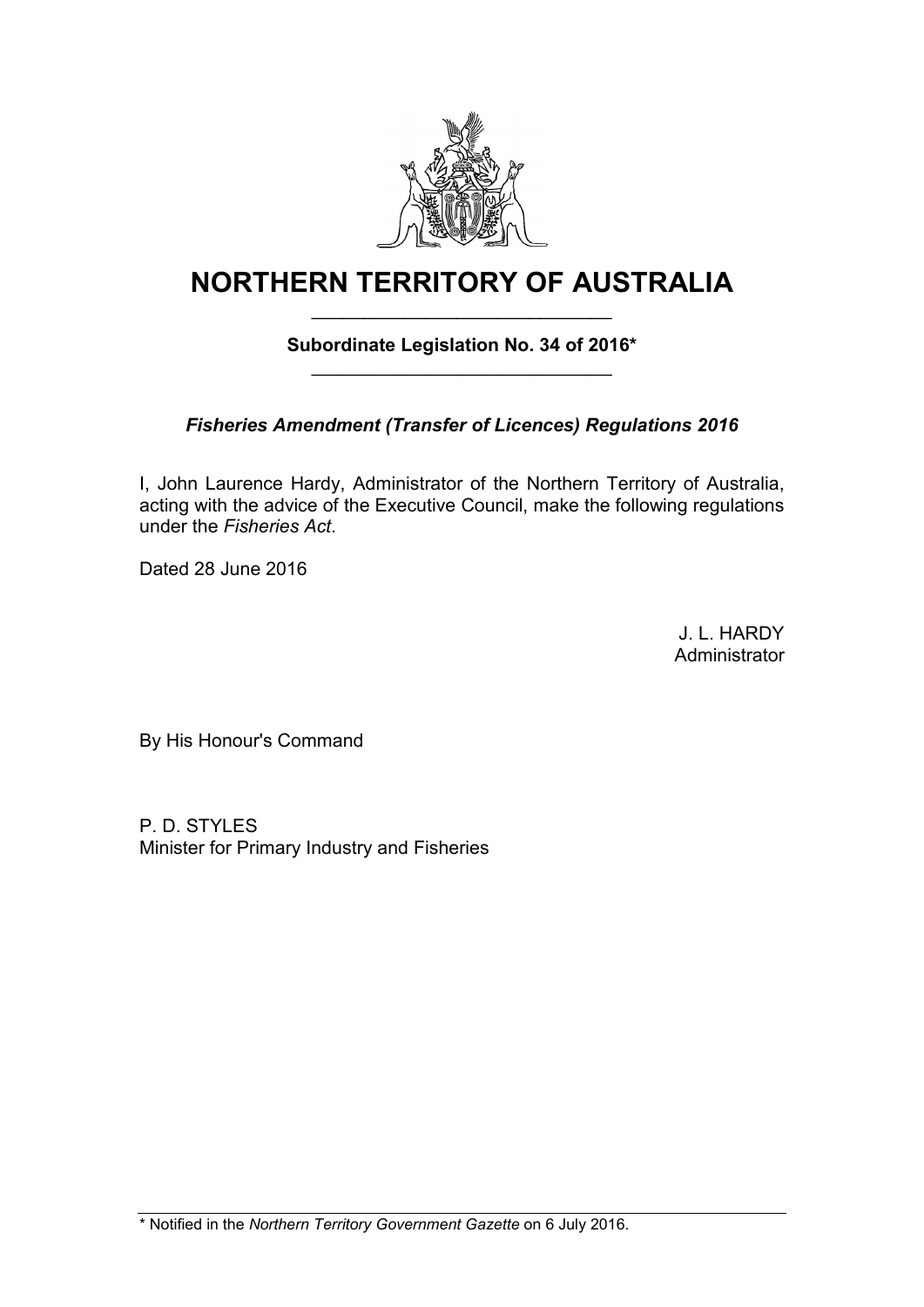

# **NORTHERN TERRITORY OF AUSTRALIA**

#### **Subordinate Legislation No. 34 of 2016\*** \_\_\_\_\_\_\_\_\_\_\_\_\_\_\_\_\_\_\_\_\_\_\_\_\_\_\_\_\_

\_\_\_\_\_\_\_\_\_\_\_\_\_\_\_\_\_\_\_\_\_\_\_\_\_\_\_\_\_

### *Fisheries Amendment (Transfer of Licences) Regulations 2016*

I, John Laurence Hardy, Administrator of the Northern Territory of Australia, acting with the advice of the Executive Council, make the following regulations under the *Fisheries Act*.

Dated 28 June 2016

J. L. HARDY Administrator

By His Honour's Command

P. D. STYLES Minister for Primary Industry and Fisheries

\* Notified in the *Northern Territory Government Gazette* on 6 July 2016.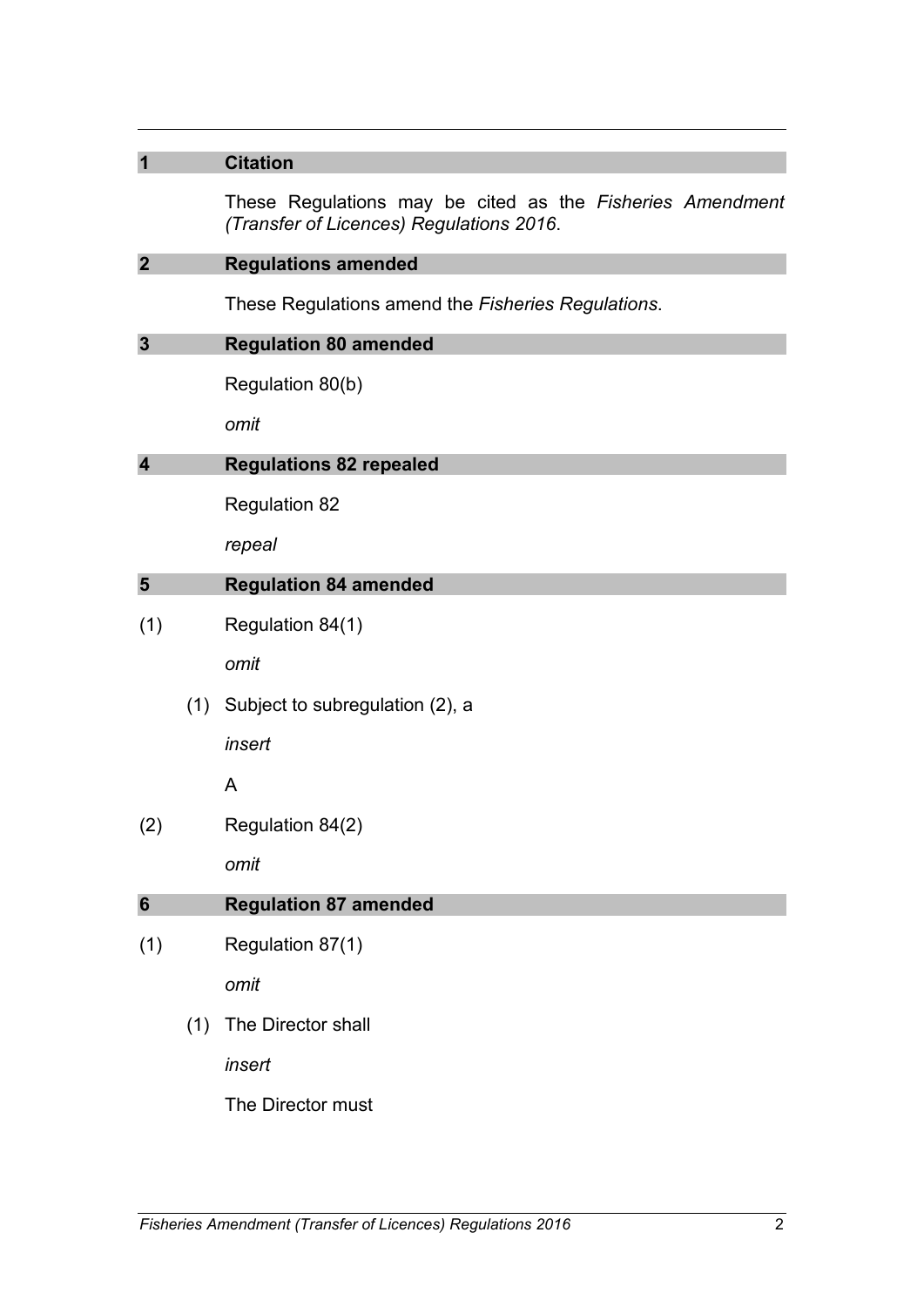| 1                       |     | <b>Citation</b>                                                                                       |
|-------------------------|-----|-------------------------------------------------------------------------------------------------------|
|                         |     | These Regulations may be cited as the Fisheries Amendment<br>(Transfer of Licences) Regulations 2016. |
| $\overline{2}$          |     | <b>Regulations amended</b>                                                                            |
|                         |     | These Regulations amend the Fisheries Regulations.                                                    |
| $\mathbf{3}$            |     | <b>Regulation 80 amended</b>                                                                          |
|                         |     | Regulation 80(b)                                                                                      |
|                         |     | omit                                                                                                  |
| $\overline{\mathbf{4}}$ |     | <b>Regulations 82 repealed</b>                                                                        |
|                         |     | <b>Regulation 82</b>                                                                                  |
|                         |     | repeal                                                                                                |
| 5                       |     | <b>Regulation 84 amended</b>                                                                          |
| (1)                     |     | Regulation 84(1)                                                                                      |
|                         |     | omit                                                                                                  |
|                         | (1) | Subject to subregulation (2), a                                                                       |
|                         |     | insert                                                                                                |
|                         |     | A                                                                                                     |
| (2)                     |     | Regulation 84(2)                                                                                      |
|                         |     | omit                                                                                                  |
| 6                       |     | <b>Regulation 87 amended</b>                                                                          |
| (1)                     |     | Regulation 87(1)                                                                                      |
|                         |     | omit                                                                                                  |
|                         | (1) | The Director shall                                                                                    |
|                         |     | insert                                                                                                |
|                         |     | The Director must                                                                                     |